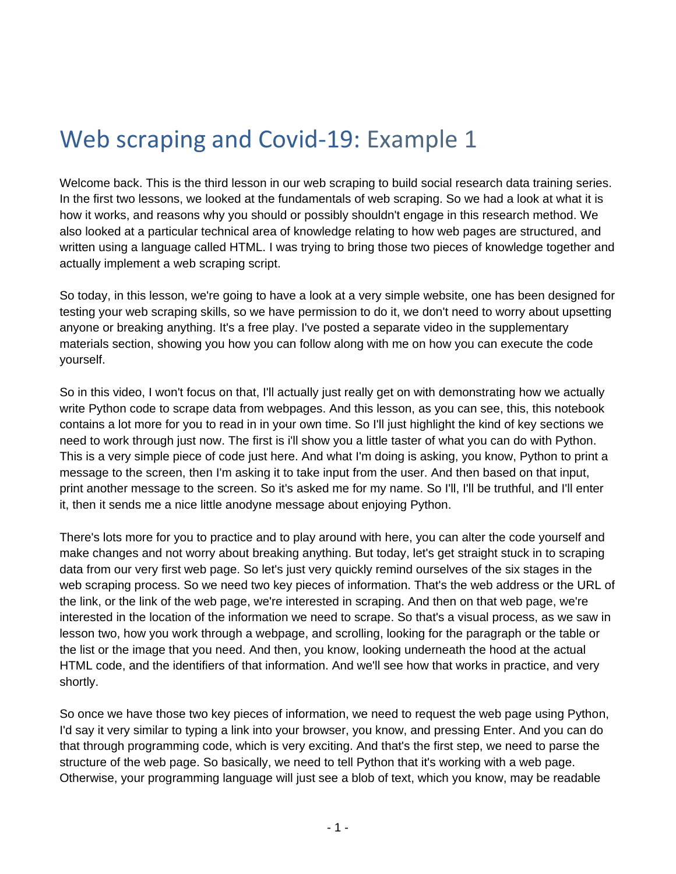Welcome back. This is the third lesson in our web scraping to build social research data training series. In the first two lessons, we looked at the fundamentals of web scraping. So we had a look at what it is how it works, and reasons why you should or possibly shouldn't engage in this research method. We also looked at a particular technical area of knowledge relating to how web pages are structured, and written using a language called HTML. I was trying to bring those two pieces of knowledge together and actually implement a web scraping script.

So today, in this lesson, we're going to have a look at a very simple website, one has been designed for testing your web scraping skills, so we have permission to do it, we don't need to worry about upsetting anyone or breaking anything. It's a free play. I've posted a separate video in the supplementary materials section, showing you how you can follow along with me on how you can execute the code yourself.

So in this video, I won't focus on that, I'll actually just really get on with demonstrating how we actually write Python code to scrape data from webpages. And this lesson, as you can see, this, this notebook contains a lot more for you to read in in your own time. So I'll just highlight the kind of key sections we need to work through just now. The first is i'll show you a little taster of what you can do with Python. This is a very simple piece of code just here. And what I'm doing is asking, you know, Python to print a message to the screen, then I'm asking it to take input from the user. And then based on that input, print another message to the screen. So it's asked me for my name. So I'll, I'll be truthful, and I'll enter it, then it sends me a nice little anodyne message about enjoying Python.

There's lots more for you to practice and to play around with here, you can alter the code yourself and make changes and not worry about breaking anything. But today, let's get straight stuck in to scraping data from our very first web page. So let's just very quickly remind ourselves of the six stages in the web scraping process. So we need two key pieces of information. That's the web address or the URL of the link, or the link of the web page, we're interested in scraping. And then on that web page, we're interested in the location of the information we need to scrape. So that's a visual process, as we saw in lesson two, how you work through a webpage, and scrolling, looking for the paragraph or the table or the list or the image that you need. And then, you know, looking underneath the hood at the actual HTML code, and the identifiers of that information. And we'll see how that works in practice, and very shortly.

So once we have those two key pieces of information, we need to request the web page using Python, I'd say it very similar to typing a link into your browser, you know, and pressing Enter. And you can do that through programming code, which is very exciting. And that's the first step, we need to parse the structure of the web page. So basically, we need to tell Python that it's working with a web page. Otherwise, your programming language will just see a blob of text, which you know, may be readable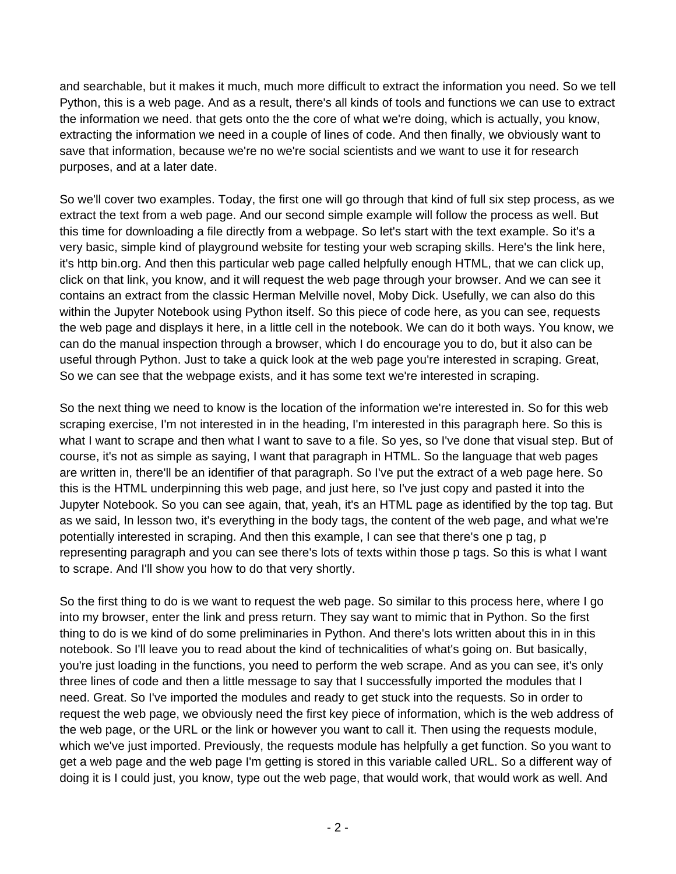and searchable, but it makes it much, much more difficult to extract the information you need. So we tell Python, this is a web page. And as a result, there's all kinds of tools and functions we can use to extract the information we need. that gets onto the the core of what we're doing, which is actually, you know, extracting the information we need in a couple of lines of code. And then finally, we obviously want to save that information, because we're no we're social scientists and we want to use it for research purposes, and at a later date.

So we'll cover two examples. Today, the first one will go through that kind of full six step process, as we extract the text from a web page. And our second simple example will follow the process as well. But this time for downloading a file directly from a webpage. So let's start with the text example. So it's a very basic, simple kind of playground website for testing your web scraping skills. Here's the link here, it's http bin.org. And then this particular web page called helpfully enough HTML, that we can click up, click on that link, you know, and it will request the web page through your browser. And we can see it contains an extract from the classic Herman Melville novel, Moby Dick. Usefully, we can also do this within the Jupyter Notebook using Python itself. So this piece of code here, as you can see, requests the web page and displays it here, in a little cell in the notebook. We can do it both ways. You know, we can do the manual inspection through a browser, which I do encourage you to do, but it also can be useful through Python. Just to take a quick look at the web page you're interested in scraping. Great, So we can see that the webpage exists, and it has some text we're interested in scraping.

So the next thing we need to know is the location of the information we're interested in. So for this web scraping exercise, I'm not interested in in the heading, I'm interested in this paragraph here. So this is what I want to scrape and then what I want to save to a file. So yes, so I've done that visual step. But of course, it's not as simple as saying, I want that paragraph in HTML. So the language that web pages are written in, there'll be an identifier of that paragraph. So I've put the extract of a web page here. So this is the HTML underpinning this web page, and just here, so I've just copy and pasted it into the Jupyter Notebook. So you can see again, that, yeah, it's an HTML page as identified by the top tag. But as we said, In lesson two, it's everything in the body tags, the content of the web page, and what we're potentially interested in scraping. And then this example, I can see that there's one p tag, p representing paragraph and you can see there's lots of texts within those p tags. So this is what I want to scrape. And I'll show you how to do that very shortly.

So the first thing to do is we want to request the web page. So similar to this process here, where I go into my browser, enter the link and press return. They say want to mimic that in Python. So the first thing to do is we kind of do some preliminaries in Python. And there's lots written about this in in this notebook. So I'll leave you to read about the kind of technicalities of what's going on. But basically, you're just loading in the functions, you need to perform the web scrape. And as you can see, it's only three lines of code and then a little message to say that I successfully imported the modules that I need. Great. So I've imported the modules and ready to get stuck into the requests. So in order to request the web page, we obviously need the first key piece of information, which is the web address of the web page, or the URL or the link or however you want to call it. Then using the requests module, which we've just imported. Previously, the requests module has helpfully a get function. So you want to get a web page and the web page I'm getting is stored in this variable called URL. So a different way of doing it is I could just, you know, type out the web page, that would work, that would work as well. And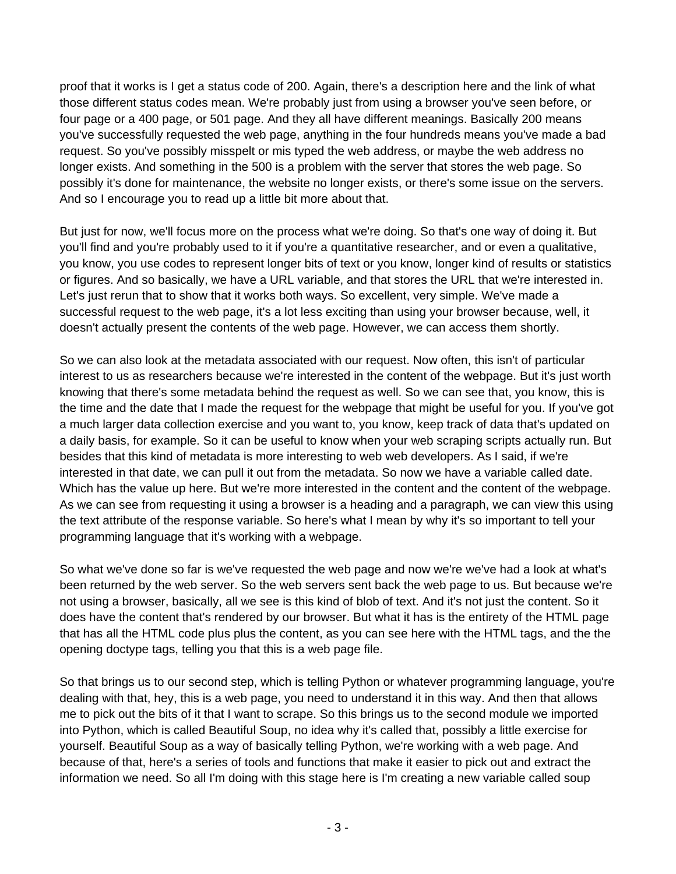proof that it works is I get a status code of 200. Again, there's a description here and the link of what those different status codes mean. We're probably just from using a browser you've seen before, or four page or a 400 page, or 501 page. And they all have different meanings. Basically 200 means you've successfully requested the web page, anything in the four hundreds means you've made a bad request. So you've possibly misspelt or mis typed the web address, or maybe the web address no longer exists. And something in the 500 is a problem with the server that stores the web page. So possibly it's done for maintenance, the website no longer exists, or there's some issue on the servers. And so I encourage you to read up a little bit more about that.

But just for now, we'll focus more on the process what we're doing. So that's one way of doing it. But you'll find and you're probably used to it if you're a quantitative researcher, and or even a qualitative, you know, you use codes to represent longer bits of text or you know, longer kind of results or statistics or figures. And so basically, we have a URL variable, and that stores the URL that we're interested in. Let's just rerun that to show that it works both ways. So excellent, very simple. We've made a successful request to the web page, it's a lot less exciting than using your browser because, well, it doesn't actually present the contents of the web page. However, we can access them shortly.

So we can also look at the metadata associated with our request. Now often, this isn't of particular interest to us as researchers because we're interested in the content of the webpage. But it's just worth knowing that there's some metadata behind the request as well. So we can see that, you know, this is the time and the date that I made the request for the webpage that might be useful for you. If you've got a much larger data collection exercise and you want to, you know, keep track of data that's updated on a daily basis, for example. So it can be useful to know when your web scraping scripts actually run. But besides that this kind of metadata is more interesting to web web developers. As I said, if we're interested in that date, we can pull it out from the metadata. So now we have a variable called date. Which has the value up here. But we're more interested in the content and the content of the webpage. As we can see from requesting it using a browser is a heading and a paragraph, we can view this using the text attribute of the response variable. So here's what I mean by why it's so important to tell your programming language that it's working with a webpage.

So what we've done so far is we've requested the web page and now we're we've had a look at what's been returned by the web server. So the web servers sent back the web page to us. But because we're not using a browser, basically, all we see is this kind of blob of text. And it's not just the content. So it does have the content that's rendered by our browser. But what it has is the entirety of the HTML page that has all the HTML code plus plus the content, as you can see here with the HTML tags, and the the opening doctype tags, telling you that this is a web page file.

So that brings us to our second step, which is telling Python or whatever programming language, you're dealing with that, hey, this is a web page, you need to understand it in this way. And then that allows me to pick out the bits of it that I want to scrape. So this brings us to the second module we imported into Python, which is called Beautiful Soup, no idea why it's called that, possibly a little exercise for yourself. Beautiful Soup as a way of basically telling Python, we're working with a web page. And because of that, here's a series of tools and functions that make it easier to pick out and extract the information we need. So all I'm doing with this stage here is I'm creating a new variable called soup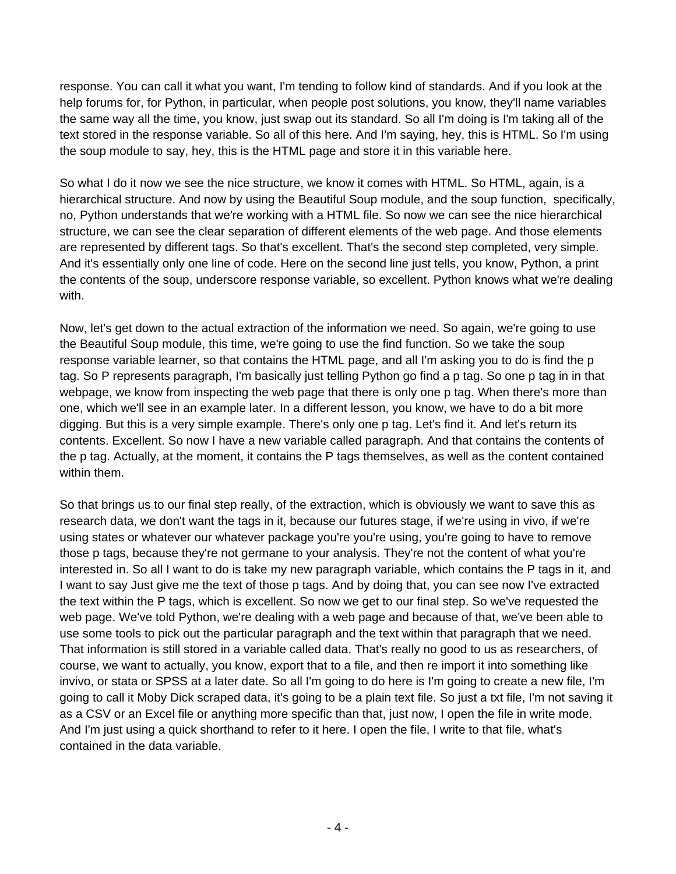response. You can call it what you want, I'm tending to follow kind of standards. And if you look at the help forums for, for Python, in particular, when people post solutions, you know, they'll name variables the same way all the time, you know, just swap out its standard. So all I'm doing is I'm taking all of the text stored in the response variable. So all of this here. And I'm saying, hey, this is HTML. So I'm using the soup module to say, hey, this is the HTML page and store it in this variable here.

So what I do it now we see the nice structure, we know it comes with HTML. So HTML, again, is a hierarchical structure. And now by using the Beautiful Soup module, and the soup function, specifically, no, Python understands that we're working with a HTML file. So now we can see the nice hierarchical structure, we can see the clear separation of different elements of the web page. And those elements are represented by different tags. So that's excellent. That's the second step completed, very simple. And it's essentially only one line of code. Here on the second line just tells, you know, Python, a print the contents of the soup, underscore response variable, so excellent. Python knows what we're dealing with.

Now, let's get down to the actual extraction of the information we need. So again, we're going to use the Beautiful Soup module, this time, we're going to use the find function. So we take the soup response variable learner, so that contains the HTML page, and all I'm asking you to do is find the p tag. So P represents paragraph, I'm basically just telling Python go find a p tag. So one p tag in in that webpage, we know from inspecting the web page that there is only one p tag. When there's more than one, which we'll see in an example later. In a different lesson, you know, we have to do a bit more digging. But this is a very simple example. There's only one p tag. Let's find it. And let's return its contents. Excellent. So now I have a new variable called paragraph. And that contains the contents of the p tag. Actually, at the moment, it contains the P tags themselves, as well as the content contained within them.

So that brings us to our final step really, of the extraction, which is obviously we want to save this as research data, we don't want the tags in it, because our futures stage, if we're using in vivo, if we're using states or whatever our whatever package you're you're using, you're going to have to remove those p tags, because they're not germane to your analysis. They're not the content of what you're interested in. So all I want to do is take my new paragraph variable, which contains the P tags in it, and I want to say Just give me the text of those p tags. And by doing that, you can see now I've extracted the text within the P tags, which is excellent. So now we get to our final step. So we've requested the web page. We've told Python, we're dealing with a web page and because of that, we've been able to use some tools to pick out the particular paragraph and the text within that paragraph that we need. That information is still stored in a variable called data. That's really no good to us as researchers, of course, we want to actually, you know, export that to a file, and then re import it into something like invivo, or stata or SPSS at a later date. So all I'm going to do here is I'm going to create a new file, I'm going to call it Moby Dick scraped data, it's going to be a plain text file. So just a txt file, I'm not saving it as a CSV or an Excel file or anything more specific than that, just now, I open the file in write mode. And I'm just using a quick shorthand to refer to it here. I open the file, I write to that file, what's contained in the data variable.